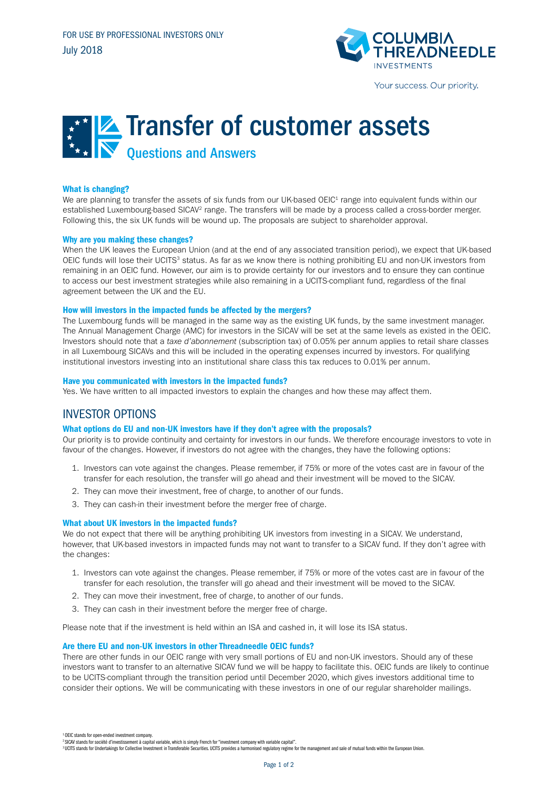

# Transfer of customer assets Questions and Answers

# What is changing?

We are planning to transfer the assets of six funds from our UK-based OEIC<sup>1</sup> range into equivalent funds within our established Luxembourg-based SICAV<sup>2</sup> range. The transfers will be made by a process called a cross-border merger. Following this, the six UK funds will be wound up. The proposals are subject to shareholder approval.

# Why are you making these changes?

When the UK leaves the European Union (and at the end of any associated transition period), we expect that UK-based OEIC funds will lose their UCITS<sup>3</sup> status. As far as we know there is nothing prohibiting EU and non-UK investors from remaining in an OEIC fund. However, our aim is to provide certainty for our investors and to ensure they can continue to access our best investment strategies while also remaining in a UCITS-compliant fund, regardless of the final agreement between the UK and the EU.

#### How will investors in the impacted funds be affected by the mergers?

The Luxembourg funds will be managed in the same way as the existing UK funds, by the same investment manager. The Annual Management Charge (AMC) for investors in the SICAV will be set at the same levels as existed in the OEIC. Investors should note that a *taxe d'abonnement* (subscription tax) of 0.05% per annum applies to retail share classes in all Luxembourg SICAVs and this will be included in the operating expenses incurred by investors. For qualifying institutional investors investing into an institutional share class this tax reduces to 0.01% per annum.

#### Have you communicated with investors in the impacted funds?

Yes. We have written to all impacted investors to explain the changes and how these may affect them.

# INVESTOR OPTIONS

# What options do EU and non-UK investors have if they don't agree with the proposals?

Our priority is to provide continuity and certainty for investors in our funds. We therefore encourage investors to vote in favour of the changes. However, if investors do not agree with the changes, they have the following options:

- 1. Investors can vote against the changes. Please remember, if 75% or more of the votes cast are in favour of the transfer for each resolution, the transfer will go ahead and their investment will be moved to the SICAV.
- 2. They can move their investment, free of charge, to another of our funds.
- 3. They can cash-in their investment before the merger free of charge.

# What about UK investors in the impacted funds?

We do not expect that there will be anything prohibiting UK investors from investing in a SICAV. We understand, however, that UK-based investors in impacted funds may not want to transfer to a SICAV fund. If they don't agree with the changes:

- 1. Investors can vote against the changes. Please remember, if 75% or more of the votes cast are in favour of the transfer for each resolution, the transfer will go ahead and their investment will be moved to the SICAV.
- 2. They can move their investment, free of charge, to another of our funds.
- 3. They can cash in their investment before the merger free of charge.

Please note that if the investment is held within an ISA and cashed in, it will lose its ISA status.

#### Are there EU and non-UK investors in other Threadneedle OEIC funds?

There are other funds in our OEIC range with very small portions of EU and non-UK investors. Should any of these investors want to transfer to an alternative SICAV fund we will be happy to facilitate this. OEIC funds are likely to continue to be UCITS-compliant through the transition period until December 2020, which gives investors additional time to consider their options. We will be communicating with these investors in one of our regular shareholder mailings.

<sup>&</sup>lt;sup>1</sup> OEIC stands for open-ended investment compan

<sup>2</sup> SICAV stands for société d'investissement à capital variable, which is simply French for "investment company with variable capital".

<sup>&</sup>lt;sup>3</sup> UCITS stands for Undertakings for Collective Investment in Transferable Securities. UCITS provides a harmonised regulatory regime for the management and sale of mutual funds within the European Union.